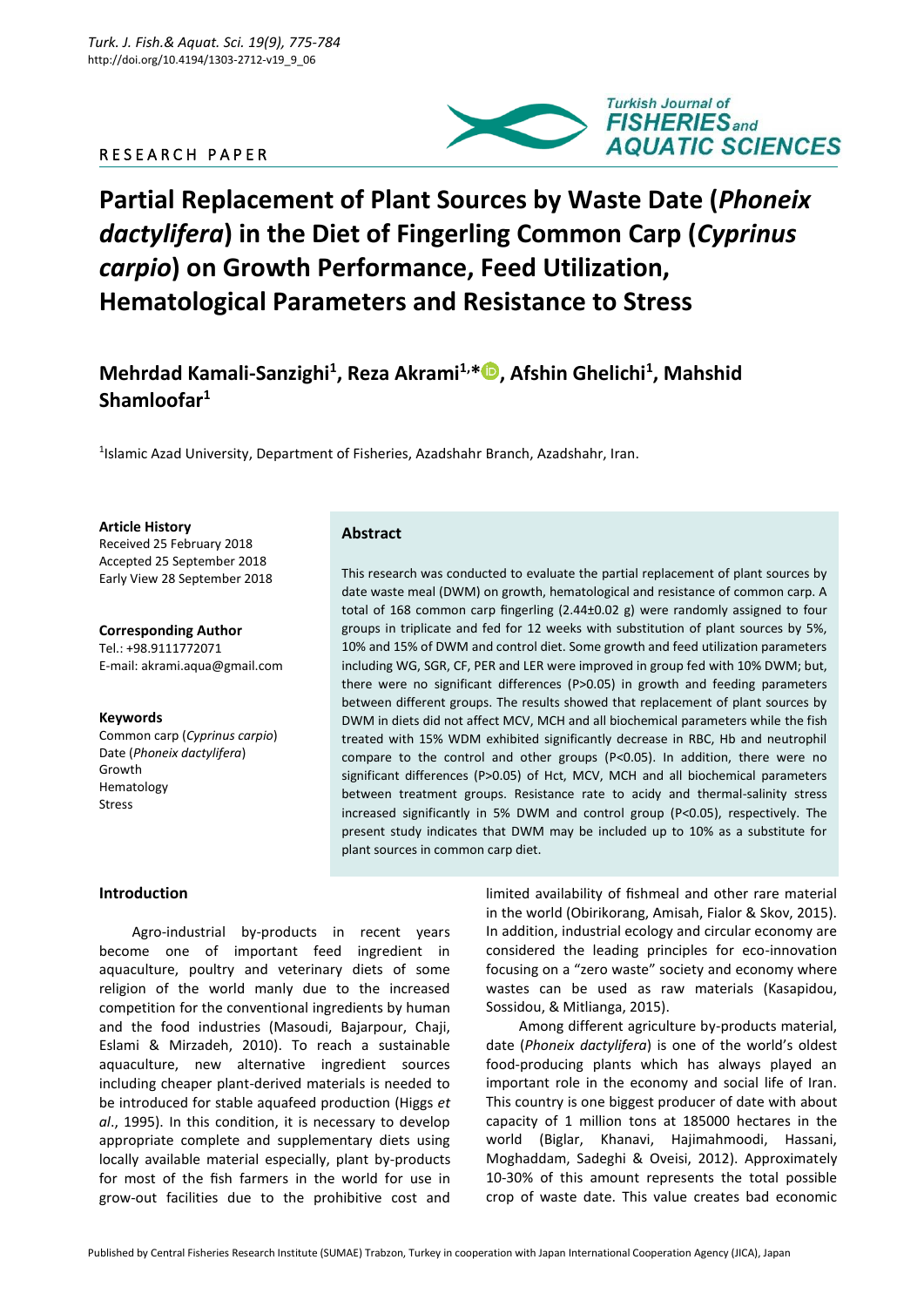# R E S E A R C H P A P E R



# **Partial Replacement of Plant Sources by Waste Date (***Phoneix dactylifera***) in the Diet of Fingerling Common Carp (***Cyprinus carpio***) on Growth Performance, Feed Utilization, Hematological Parameters and Resistance to Stress**

**Mehrdad Kamali-Sanzighi<sup>1</sup> , Reza Akrami1,[\\*](https://orcid.org/0000-0002-8932-3142) , Afshin Ghelichi<sup>1</sup> , Mahshid Shamloofar<sup>1</sup>**

<sup>1</sup>Islamic Azad University, Department of Fisheries, Azadshahr Branch, Azadshahr, Iran.

**Article History**

Received 25 February 2018 Accepted 25 September 2018 Early View 28 September 2018

**Corresponding Author** Tel.: +98.9111772071 E-mail[: akrami.aqua@gmail.com](mailto:Akrami.aqua@gmail.com)

#### **Keywords**

Common carp (*Cyprinus carpio*) Date (*Phoneix dactylifera*) Growth Hematology Stress

## **Abstract**

This research was conducted to evaluate the partial replacement of plant sources by date waste meal (DWM) on growth, hematological and resistance of common carp. A total of 168 common carp fingerling (2.44±0.02 g) were randomly assigned to four groups in triplicate and fed for 12 weeks with substitution of plant sources by 5%, 10% and 15% of DWM and control diet. Some growth and feed utilization parameters including WG, SGR, CF, PER and LER were improved in group fed with 10% DWM; but, there were no significant differences (P>0.05) in growth and feeding parameters between different groups. The results showed that replacement of plant sources by DWM in diets did not affect MCV, MCH and all biochemical parameters while the fish treated with 15% WDM exhibited significantly decrease in RBC, Hb and neutrophil compare to the control and other groups (P<0.05). In addition, there were no significant differences (P>0.05) of Hct, MCV, MCH and all biochemical parameters between treatment groups. Resistance rate to acidy and thermal-salinity stress increased significantly in 5% DWM and control group (P<0.05), respectively. The present study indicates that DWM may be included up to 10% as a substitute for plant sources in common carp diet.

## **Introduction**

Agro-industrial by-products in recent years become one of important feed ingredient in aquaculture, poultry and veterinary diets of some religion of the world manly due to the increased competition for the conventional ingredients by human and the food industries (Masoudi, Bajarpour, Chaji, Eslami & Mirzadeh, 2010). To reach a sustainable aquaculture, new alternative ingredient sources including cheaper plant-derived materials is needed to be introduced for stable aquafeed production (Higgs *et al*., 1995). In this condition, it is necessary to develop appropriate complete and supplementary diets using locally available material especially, plant by-products for most of the fish farmers in the world for use in grow-out facilities due to the prohibitive cost and

limited availability of fishmeal and other rare material in the world (Obirikorang, Amisah, Fialor & Skov, 2015). In addition, industrial ecology and circular economy are considered the leading principles for eco-innovation focusing on a "zero waste" society and economy where wastes can be used as raw materials (Kasapidou, Sossidou, & Mitlianga, 2015).

Among different agriculture by-products material, date (*Phoneix dactylifera*) is one of the world's oldest food-producing plants which has always played an important role in the economy and social life of Iran. This country is one biggest producer of date with about capacity of 1 million tons at 185000 hectares in the world (Biglar, Khanavi, Hajimahmoodi, Hassani, Moghaddam, Sadeghi & Oveisi, 2012). Approximately 10-30% of this amount represents the total possible crop of waste date. This value creates bad economic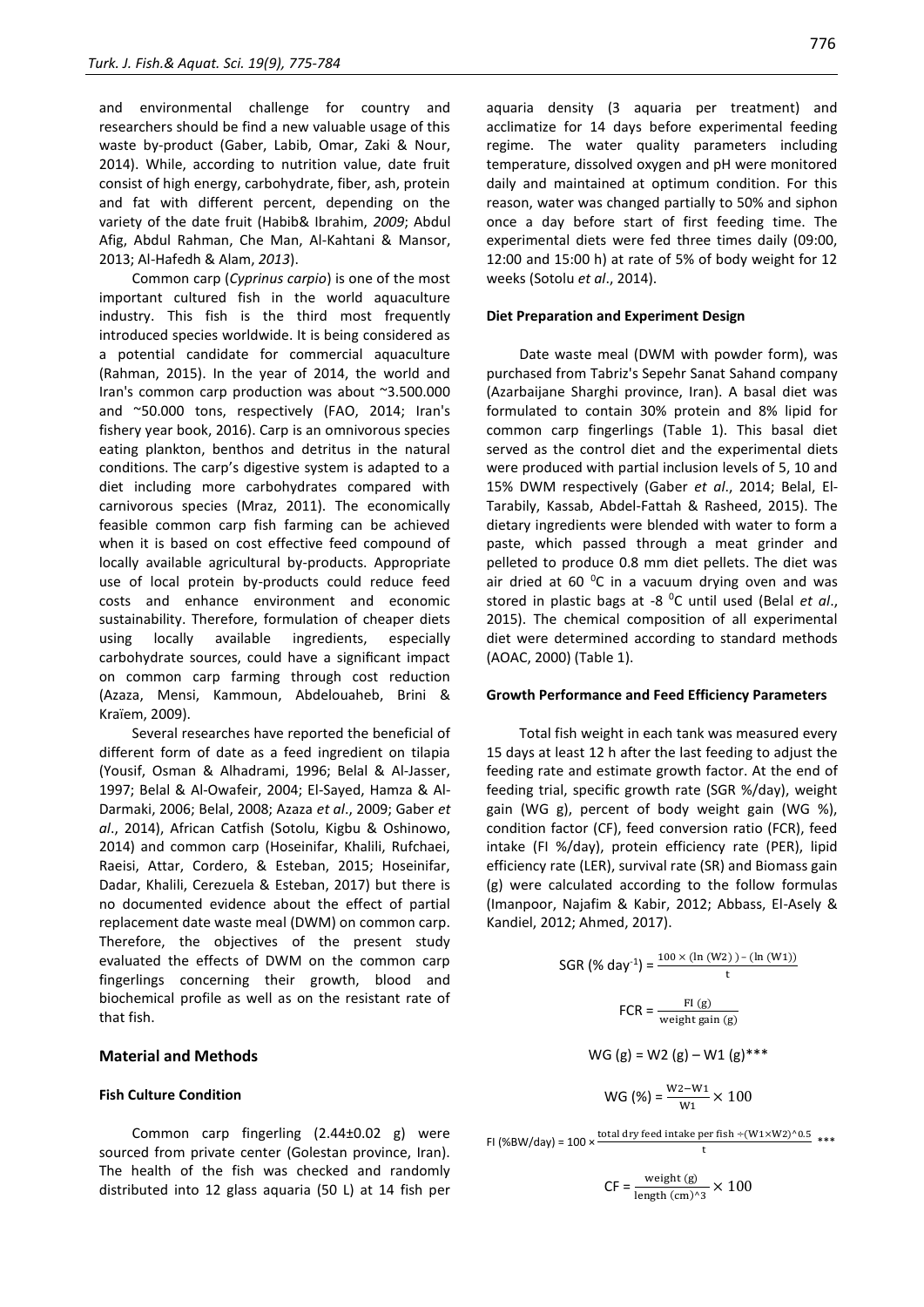and environmental challenge for country and researchers should be find a new valuable usage of this waste by-product (Gaber, Labib, Omar, Zaki & Nour, 2014). While, according to nutrition value, date fruit consist of high energy, carbohydrate, fiber, ash, protein and fat with different percent, depending on the variety of the date fruit (Habib& Ibrahim, *2009*; Abdul Afig, Abdul Rahman, Che Man, Al-Kahtani & Mansor, 2013; Al-Hafedh & Alam, *2013*).

Common carp (*Cyprinus carpio*) is one of the most important cultured fish in the world aquaculture industry. This fish is the third most frequently introduced species worldwide. It is being considered as a potential candidate for commercial aquaculture (Rahman, 2015). In the year of 2014, the world and Iran's common carp production was about ~3.500.000 and ~50.000 tons, respectively (FAO, 2014; Iran's fishery year book, 2016). Carp is an omnivorous species eating plankton, benthos and detritus in the natural conditions. The carp's digestive system is adapted to a diet including more carbohydrates compared with carnivorous species (Mraz, 2011). The economically feasible common carp fish farming can be achieved when it is based on cost effective feed compound of locally available agricultural by-products. Appropriate use of local protein by-products could reduce feed costs and enhance environment and economic sustainability. Therefore, formulation of cheaper diets using locally available ingredients, especially carbohydrate sources, could have a significant impact on common carp farming through cost reduction (Azaza, Mensi, Kammoun, Abdelouaheb, Brini & Kraïem, 2009).

Several researches have reported the beneficial of different form of date as a feed ingredient on tilapia (Yousif, Osman & Alhadrami, 1996; Belal & Al‐Jasser, 1997; Belal & Al‐Owafeir, 2004; El-Sayed, Hamza & Al-Darmaki, 2006; Belal, 2008; Azaza *et al*., 2009; Gaber *et al*., 2014), African Catfish (Sotolu, Kigbu & Oshinowo, 2014) and common carp (Hoseinifar, Khalili, Rufchaei, Raeisi, Attar, Cordero, & Esteban, 2015; Hoseinifar, Dadar, Khalili, Cerezuela & Esteban, 2017) but there is no documented evidence about the effect of partial replacement date waste meal (DWM) on common carp. Therefore, the objectives of the present study evaluated the effects of DWM on the common carp fingerlings concerning their growth, blood and biochemical profile as well as on the resistant rate of that fish.

## **Material and Methods**

### **Fish Culture Condition**

Common carp fingerling (2.44±0.02 g) were sourced from private center (Golestan province, Iran). The health of the fish was checked and randomly distributed into 12 glass aquaria (50 L) at 14 fish per aquaria density (3 aquaria per treatment) and acclimatize for 14 days before experimental feeding regime. The water quality parameters including temperature, dissolved oxygen and pH were monitored daily and maintained at optimum condition. For this reason, water was changed partially to 50% and siphon once a day before start of first feeding time. The experimental diets were fed three times daily (09:00, 12:00 and 15:00 h) at rate of 5% of body weight for 12 weeks (Sotolu *et al*., 2014).

#### **Diet Preparation and Experiment Design**

Date waste meal (DWM with powder form), was purchased from Tabriz's Sepehr Sanat Sahand company (Azarbaijane Sharghi province, Iran). A basal diet was formulated to contain 30% protein and 8% lipid for common carp fingerlings (Table 1). This basal diet served as the control diet and the experimental diets were produced with partial inclusion levels of 5, 10 and 15% DWM respectively (Gaber *et al*., 2014; Belal, El-Tarabily, Kassab, Abdel-Fattah & Rasheed, 2015). The dietary ingredients were blended with water to form a paste, which passed through a meat grinder and pelleted to produce 0.8 mm diet pellets. The diet was air dried at 60 $^{\circ}$ C in a vacuum drying oven and was stored in plastic bags at -8 <sup>0</sup>C until used (Belal *et al*., 2015). The chemical composition of all experimental diet were determined according to standard methods (AOAC, 2000) (Table 1).

#### **Growth Performance and Feed Efficiency Parameters**

Total fish weight in each tank was measured every 15 days at least 12 h after the last feeding to adjust the feeding rate and estimate growth factor. At the end of feeding trial, specific growth rate (SGR %/day), weight gain (WG g), percent of body weight gain (WG %), condition factor (CF), feed conversion ratio (FCR), feed intake (FI %/day), protein efficiency rate (PER), lipid efficiency rate (LER), survival rate (SR) and Biomass gain (g) were calculated according to the follow formulas (Imanpoor, Najafim & Kabir, 2012; Abbass, El-Asely & Kandiel, 2012; Ahmed, 2017).

SGR 
$$
(\% day^{-1}) = \frac{100 \times (\ln{(W2)}) - (\ln{(W1)})}{t}
$$
  
\n
$$
FCR = \frac{F1(g)}{\text{weight gain (g)}}
$$
\n
$$
WG (g) = W2 (g) - W1 (g)***
$$
\n
$$
WG (\%) = \frac{W2 - W1}{W1} \times 100
$$

FI (%BW/day) =  $100 \times \frac{\text{total dry feed intake per fish} \div (W1 \times W2)^0.5}{t}$  \*\*\*

$$
CF = \frac{\text{weight (g)}}{\text{length (cm)}^3} \times 100
$$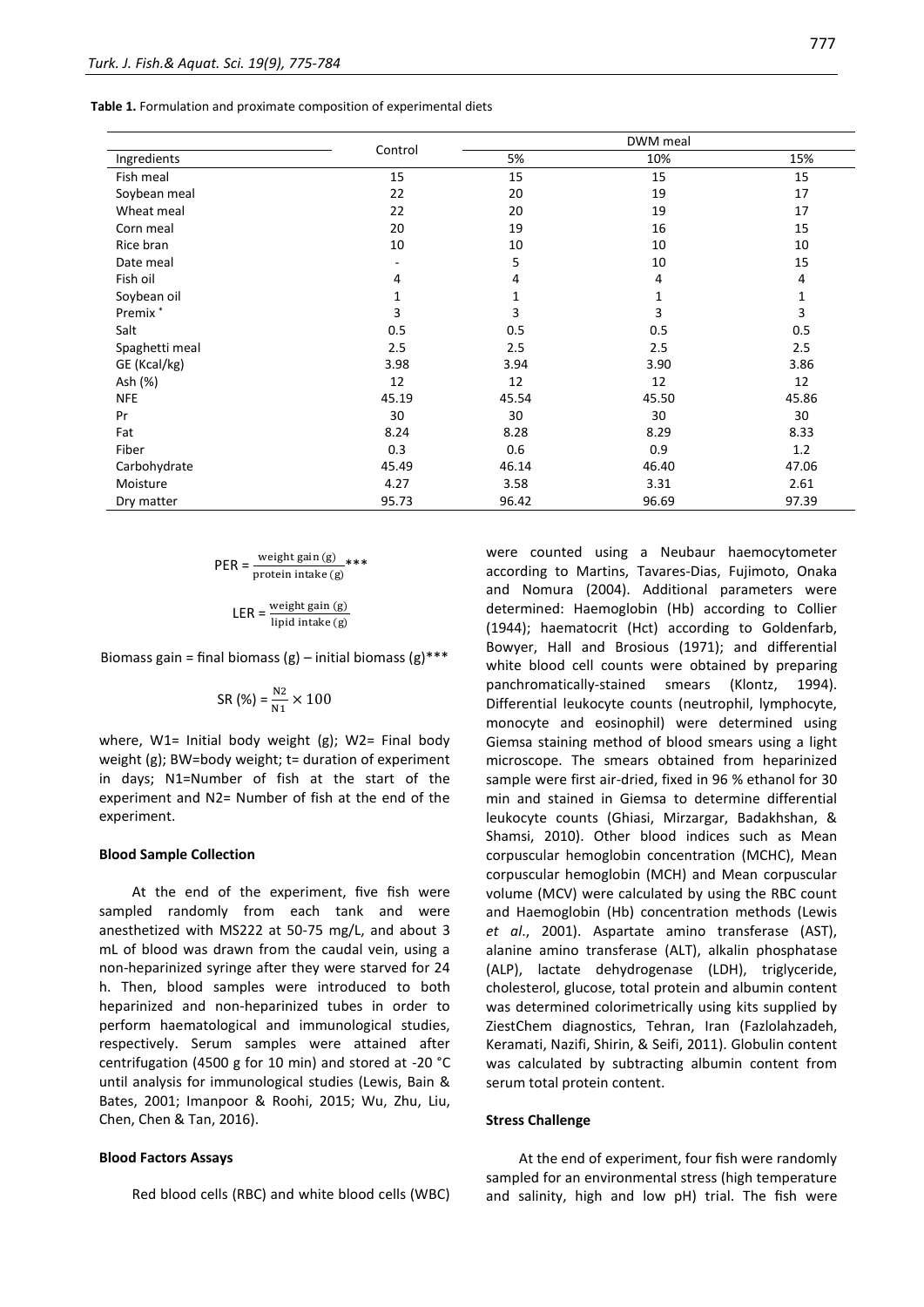**Table 1.** Formulation and proximate composition of experimental diets

|                     |         |       | DWM meal |       |  |
|---------------------|---------|-------|----------|-------|--|
| Ingredients         | Control | 5%    | 10%      |       |  |
| Fish meal           | 15      | 15    | 15       | 15    |  |
| Soybean meal        | 22      | 20    | 19       | 17    |  |
| Wheat meal          | 22      | 20    | 19       | 17    |  |
| Corn meal           | 20      | 19    | 16       | 15    |  |
| Rice bran           | 10      | 10    | 10       | 10    |  |
| Date meal           |         | 5     | 10       | 15    |  |
| Fish oil            | 4       | 4     | 4        | 4     |  |
| Soybean oil         | 1       | 1     | 1        | 1     |  |
| Premix <sup>*</sup> | 3       | 3     | 3        | 3     |  |
| Salt                | 0.5     | 0.5   | 0.5      | 0.5   |  |
| Spaghetti meal      | 2.5     | 2.5   | 2.5      | 2.5   |  |
| GE (Kcal/kg)        | 3.98    | 3.94  | 3.90     | 3.86  |  |
| Ash (%)             | 12      | 12    | 12       | 12    |  |
| <b>NFE</b>          | 45.19   | 45.54 | 45.50    | 45.86 |  |
| Pr                  | 30      | 30    | 30       | 30    |  |
| Fat                 | 8.24    | 8.28  | 8.29     | 8.33  |  |
| Fiber               | 0.3     | 0.6   | 0.9      | 1.2   |  |
| Carbohydrate        | 45.49   | 46.14 | 46.40    | 47.06 |  |
| Moisture            | 4.27    | 3.58  | 3.31     | 2.61  |  |
| Dry matter          | 95.73   | 96.42 | 96.69    | 97.39 |  |

 $PER = \frac{\text{weight gain (g)}}{\text{protein intake (g)}}$ \*\*\*

 $\mathsf{LER} = \frac{\text{weight gain (g)}}{\text{lipid intake (g)}}$ 

Biomass gain = final biomass (g) – initial biomass (g)\*\*\*

SR (%) = 
$$
\frac{N2}{N1}
$$
 × 100

where, W1= Initial body weight (g); W2= Final body weight (g); BW=body weight; t= duration of experiment in days; N1=Number of fish at the start of the experiment and N2= Number of fish at the end of the experiment.

#### **Blood Sample Collection**

At the end of the experiment, five fish were sampled randomly from each tank and were anesthetized with MS222 at 50-75 mg/L, and about 3 mL of blood was drawn from the caudal vein, using a non-heparinized syringe after they were starved for 24 h. Then, blood samples were introduced to both heparinized and non-heparinized tubes in order to perform haematological and immunological studies, respectively. Serum samples were attained after centrifugation (4500 g for 10 min) and stored at -20 °C until analysis for immunological studies (Lewis, Bain & Bates, 2001; Imanpoor & Roohi, 2015; Wu, Zhu, Liu, Chen, Chen & Tan, 2016).

#### **Blood Factors Assays**

Red blood cells (RBC) and white blood cells (WBC)

were counted using a Neubaur haemocytometer according to Martins, Tavares-Dias, Fujimoto, Onaka and Nomura (2004). Additional parameters were determined: Haemoglobin (Hb) according to Collier (1944); haematocrit (Hct) according to Goldenfarb, Bowyer, Hall and Brosious (1971); and differential white blood cell counts were obtained by preparing panchromatically-stained smears (Klontz, 1994). Differential leukocyte counts (neutrophil, lymphocyte, monocyte and eosinophil) were determined using Giemsa staining method of blood smears using a light microscope. The smears obtained from heparinized sample were first air-dried, fixed in 96 % ethanol for 30 min and stained in Giemsa to determine differential leukocyte counts (Ghiasi, Mirzargar, Badakhshan, & Shamsi, 2010). Other blood indices such as Mean corpuscular hemoglobin concentration (MCHC), Mean corpuscular hemoglobin (MCH) and Mean corpuscular volume (MCV) were calculated by using the RBC count and Haemoglobin (Hb) concentration methods (Lewis *et al*., 2001). Aspartate amino transferase (AST), alanine amino transferase (ALT), alkalin phosphatase (ALP), lactate dehydrogenase (LDH), triglyceride, cholesterol, glucose, total protein and albumin content was determined colorimetrically using kits supplied by ZiestChem diagnostics, Tehran, Iran (Fazlolahzadeh, Keramati, Nazifi, Shirin, & Seifi, 2011). Globulin content was calculated by subtracting albumin content from serum total protein content.

#### **Stress Challenge**

At the end of experiment, four fish were randomly sampled for an environmental stress (high temperature and salinity, high and low pH) trial. The fish were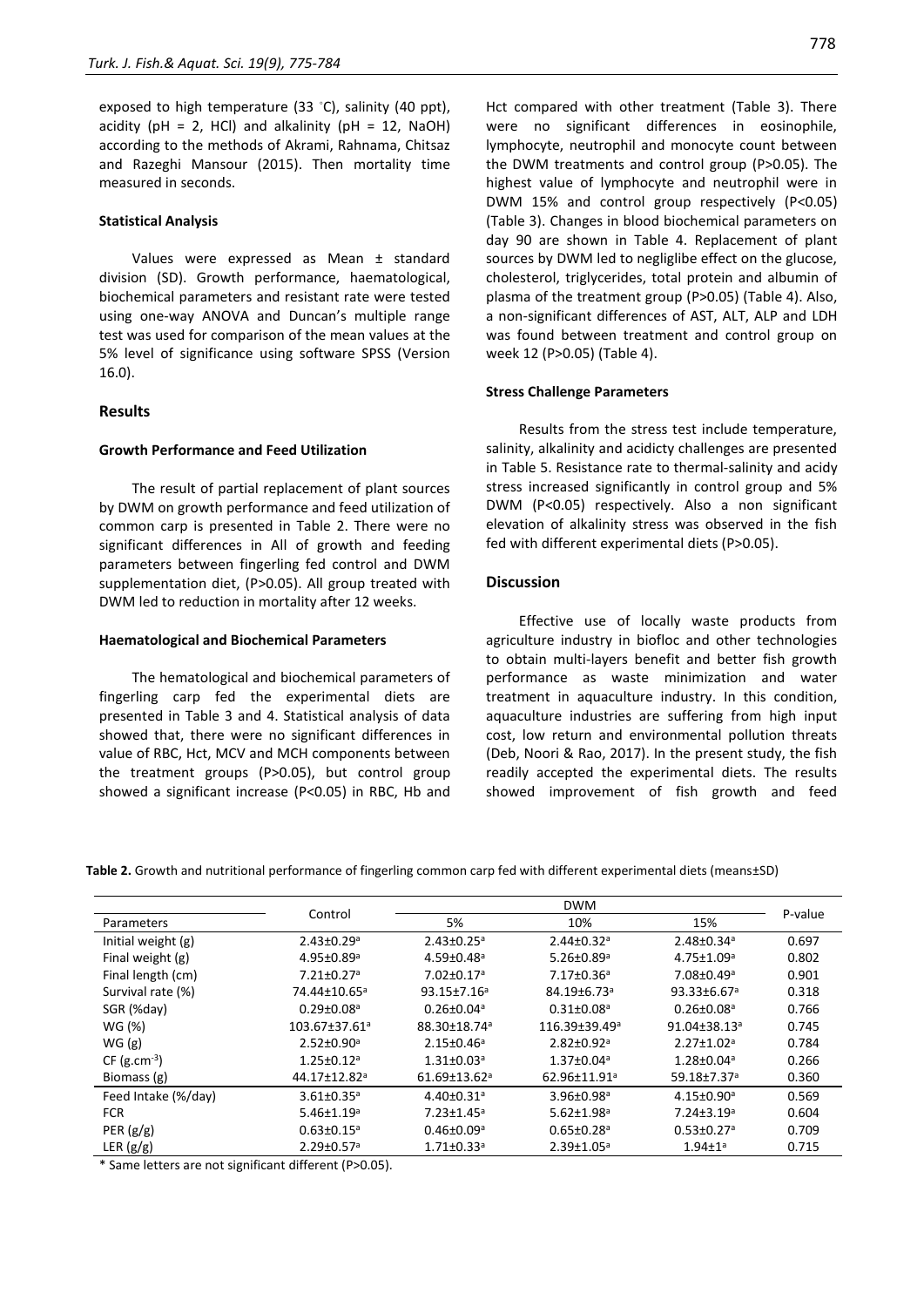exposed to high temperature (33 ◦C), salinity (40 ppt), acidity ( $pH = 2$ , HCl) and alkalinity ( $pH = 12$ , NaOH) according to the methods of Akrami, Rahnama, Chitsaz and Razeghi Mansour (2015). Then mortality time measured in seconds.

#### **Statistical Analysis**

Values were expressed as Mean ± standard division (SD). Growth performance, haematological, biochemical parameters and resistant rate were tested using one-way ANOVA and Duncan's multiple range test was used for comparison of the mean values at the 5% level of significance using software SPSS (Version 16.0).

## **Results**

## **Growth Performance and Feed Utilization**

The result of partial replacement of plant sources by DWM on growth performance and feed utilization of common carp is presented in Table 2. There were no significant differences in All of growth and feeding parameters between fingerling fed control and DWM supplementation diet, (P>0.05). All group treated with DWM led to reduction in mortality after 12 weeks.

#### **Haematological and Biochemical Parameters**

The hematological and biochemical parameters of fingerling carp fed the experimental diets are presented in Table 3 and 4. Statistical analysis of data showed that, there were no significant differences in value of RBC, Hct, MCV and MCH components between the treatment groups (P>0.05), but control group showed a significant increase (P<0.05) in RBC, Hb and

Hct compared with other treatment (Table 3). There were no significant differences in eosinophile, lymphocyte, neutrophil and monocyte count between the DWM treatments and control group (P>0.05). The highest value of lymphocyte and neutrophil were in DWM 15% and control group respectively (P<0.05) (Table 3). Changes in blood biochemical parameters on day 90 are shown in Table 4. Replacement of plant sources by DWM led to negliglibe effect on the glucose, cholesterol, triglycerides, total protein and albumin of plasma of the treatment group (P>0.05) (Table 4). Also, a non-significant differences of AST, ALT, ALP and LDH was found between treatment and control group on week 12 (P>0.05) (Table 4).

#### **Stress Challenge Parameters**

Results from the stress test include temperature, salinity, alkalinity and acidicty challenges are presented in Table 5. Resistance rate to thermal-salinity and acidy stress increased significantly in control group and 5% DWM (P<0.05) respectively. Also a non significant elevation of alkalinity stress was observed in the fish fed with different experimental diets (P>0.05).

#### **Discussion**

Effective use of locally waste products from agriculture industry in biofloc and other technologies to obtain multi-layers benefit and better fish growth performance as waste minimization and water treatment in aquaculture industry. In this condition, aquaculture industries are suffering from high input cost, low return and environmental pollution threats (Deb, Noori & Rao, 2017). In the present study, the fish readily accepted the experimental diets. The results showed improvement of fish growth and feed

**Table 2.** Growth and nutritional performance of fingerling common carp fed with different experimental diets (means±SD)

|                     |                                 |                              | <b>DWM</b>                   |                              |         |
|---------------------|---------------------------------|------------------------------|------------------------------|------------------------------|---------|
| Parameters          | Control                         | 5%                           | 10%                          | 15%                          | P-value |
| Initial weight (g)  | $2.43 \pm 0.29$ <sup>a</sup>    | $2.43 \pm 0.25$ <sup>a</sup> | $2.44 \pm 0.32$ <sup>a</sup> | $2.48 \pm 0.34$ <sup>a</sup> | 0.697   |
| Final weight (g)    | $4.95 \pm 0.89$ <sup>a</sup>    | $4.59 \pm 0.48$ <sup>a</sup> | $5.26 \pm 0.89$ <sup>a</sup> | $4.75 \pm 1.09$ <sup>a</sup> | 0.802   |
| Final length (cm)   | $7.21 \pm 0.27$ <sup>a</sup>    | 7.02±0.17 <sup>a</sup>       | 7.17±0.36 <sup>a</sup>       | 7.08±0.49 <sup>a</sup>       | 0.901   |
| Survival rate (%)   | 74.44±10.65ª                    | $93.15 \pm 7.16^a$           | 84.19±6.73ª                  | 93.33±6.67 <sup>a</sup>      | 0.318   |
| SGR (%day)          | $0.29 \pm 0.08$ <sup>a</sup>    | $0.26 \pm 0.04$ <sup>a</sup> | $0.31 \pm 0.08$ <sup>a</sup> | $0.26 \pm 0.08$ <sup>a</sup> | 0.766   |
| WG (%)              | $103.67 \pm 37.61$ <sup>a</sup> | 88.30±18.74 <sup>a</sup>     | 116.39±39.49 <sup>a</sup>    | 91.04±38.13ª                 | 0.745   |
| WG(g)               | $2.52 \pm 0.90$ <sup>a</sup>    | $2.15 \pm 0.46^a$            | $2.82 \pm 0.92$ <sup>a</sup> | $2.27 \pm 1.02$ <sup>a</sup> | 0.784   |
| $CF (g.cm-3)$       | $1.25 \pm 0.12$ <sup>a</sup>    | $1.31 \pm 0.03$ <sup>a</sup> | $1.37 \pm 0.04$ <sup>a</sup> | $1.28 \pm 0.04$ <sup>a</sup> | 0.266   |
| Biomass (g)         | 44.17±12.82 <sup>a</sup>        | 61.69±13.62 <sup>a</sup>     | 62.96±11.91 <sup>a</sup>     | 59.18±7.37ª                  | 0.360   |
| Feed Intake (%/day) | $3.61 \pm 0.35$ <sup>a</sup>    | $4.40 \pm 0.31$ <sup>a</sup> | $3.96 \pm 0.98$ <sup>a</sup> | $4.15 \pm 0.90$ <sup>a</sup> | 0.569   |
| <b>FCR</b>          | $5.46 \pm 1.19$ <sup>a</sup>    | $7.23 \pm 1.45$ <sup>a</sup> | $5.62 \pm 1.98$ <sup>a</sup> | $7.24 \pm 3.19$ <sup>a</sup> | 0.604   |
| PER $(g/g)$         | $0.63 \pm 0.15$ <sup>a</sup>    | $0.46 \pm 0.09$ <sup>a</sup> | $0.65 \pm 0.28$ <sup>a</sup> | $0.53 \pm 0.27$ <sup>a</sup> | 0.709   |
| LER $(g/g)$         | $2.29 \pm 0.57$ <sup>a</sup>    | $1.71 \pm 0.33$ <sup>a</sup> | $2.39 \pm 1.05$ <sup>a</sup> | $1.94 \pm 1^a$               | 0.715   |

\* Same letters are not significant different (P>0.05).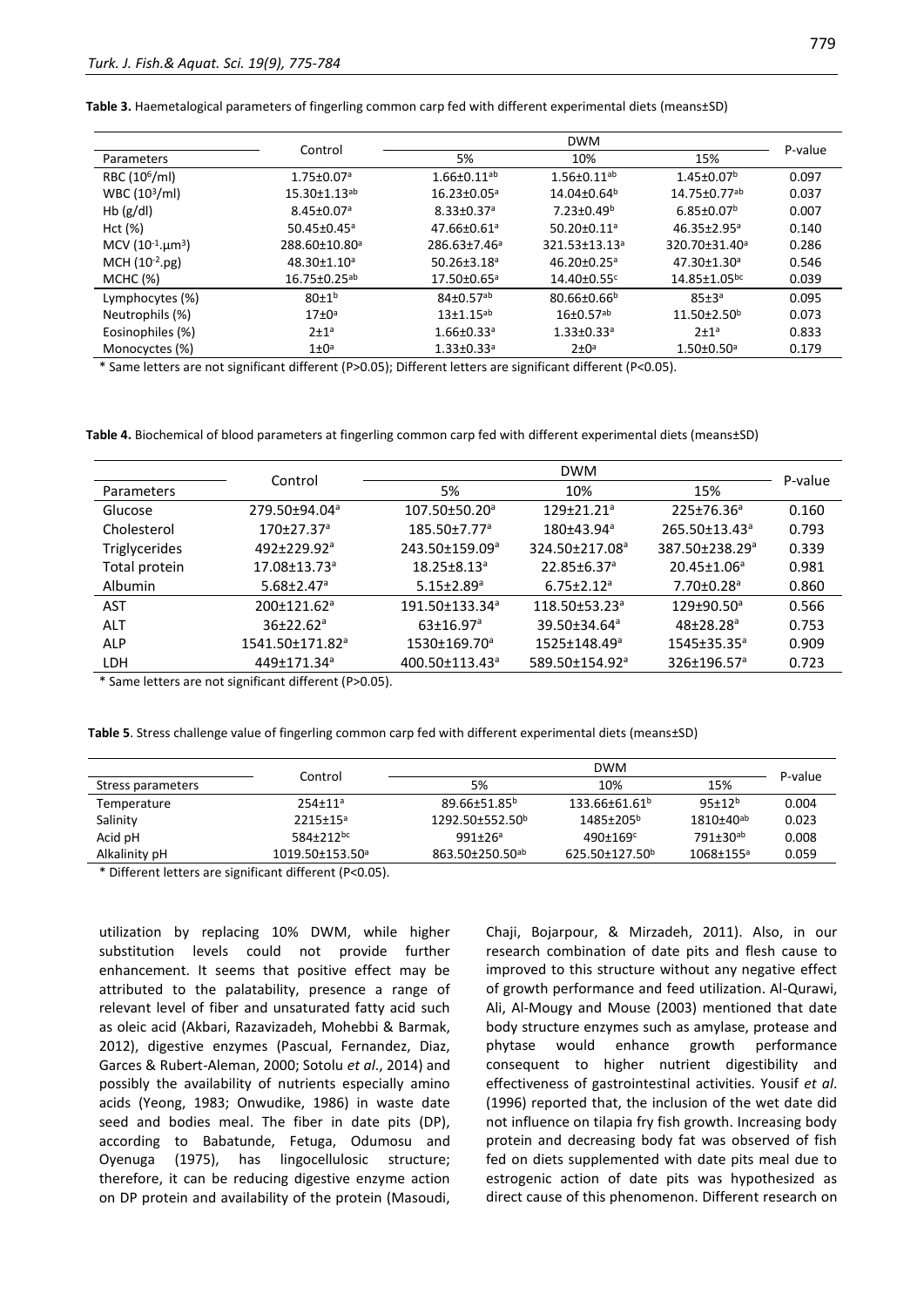**Table 3.** Haemetalogical parameters of fingerling common carp fed with different experimental diets (means±SD)

|                           | Control                        |                               | <b>DWM</b>                    |                                |         |
|---------------------------|--------------------------------|-------------------------------|-------------------------------|--------------------------------|---------|
| Parameters                |                                | 5%                            | 10%                           | 15%                            | P-value |
| RBC (10 <sup>6</sup> /ml) | $1.75 \pm 0.07$ <sup>a</sup>   | $1.66 \pm 0.11$ <sup>ab</sup> | $1.56 \pm 0.11$ <sup>ab</sup> | $1.45 \pm 0.07$ <sup>b</sup>   | 0.097   |
| WBC $(103/ml)$            | $15.30 \pm 1.13$ <sup>ab</sup> | $16.23 \pm 0.05$ <sup>a</sup> | 14.04±0.64 <sup>b</sup>       | 14.75±0.77ab                   | 0.037   |
| Hb $(g/d)$                | 8.45±0.07ª                     | $8.33 \pm 0.37$ <sup>a</sup>  | $7.23 \pm 0.49^b$             | $6.85 \pm 0.07$ <sup>b</sup>   | 0.007   |
| Hct (%)                   | $50.45 \pm 0.45$ <sup>a</sup>  | $47.66 \pm 0.61$ <sup>a</sup> | $50.20 \pm 0.11$ <sup>a</sup> | $46.35 \pm 2.95^a$             | 0.140   |
| MCV $(10^{-1}.\mu m^3)$   | 288.60±10.80 <sup>a</sup>      | 286.63±7.46 <sup>a</sup>      | 321.53±13.13 <sup>a</sup>     | 320.70±31.40 <sup>a</sup>      | 0.286   |
| $MCH (10-2.pg)$           | 48.30±1.10 <sup>a</sup>        | 50.26±3.18 <sup>a</sup>       | $46.20 \pm 0.25$ <sup>a</sup> | 47.30±1.30 <sup>a</sup>        | 0.546   |
| MCHC (%)                  | $16.75 \pm 0.25$ <sup>ab</sup> | 17.50±0.65ª                   | $14.40 \pm 0.55$ <sup>c</sup> | $14.85 \pm 1.05$ <sub>bc</sub> | 0.039   |
| Lymphocytes (%)           | $80+1^{b}$                     | $84\pm0.57^{ab}$              | $80.66 \pm 0.66^b$            | 85±3a                          | 0.095   |
| Neutrophils (%)           | $17\pm0^a$                     | $13 + 1.15$ <sup>ab</sup>     | $16 \pm 0.57$ <sup>ab</sup>   | $11.50 \pm 2.50^b$             | 0.073   |
| Eosinophiles (%)          | $2+1^a$                        | $1.66 \pm 0.33$ <sup>a</sup>  | $1.33 \pm 0.33$ <sup>a</sup>  | $2+1^a$                        | 0.833   |
| Monocyctes (%)            | $1\pm0^a$                      | $1.33 \pm 0.33$ <sup>a</sup>  | $2 \pm 0^a$                   | $1.50 \pm 0.50$ <sup>a</sup>   | 0.179   |

\* Same letters are not significant different (P>0.05); Different letters are significant different (P<0.05).

**Table 4.** Biochemical of blood parameters at fingerling common carp fed with different experimental diets (means±SD)

|                |                                 | <b>DWM</b>                       |                               |                                 |         |  |
|----------------|---------------------------------|----------------------------------|-------------------------------|---------------------------------|---------|--|
| Parameters     | Control                         | 5%                               | 10%                           | 15%                             | P-value |  |
| Glucose        | $279.50 \pm 94.04$ <sup>a</sup> | $107.50\pm50.20^a$               | $129 + 21.21$ <sup>a</sup>    | $225 \pm 76.36^a$               | 0.160   |  |
| Cholesterol    | $170\pm 27.37$ <sup>a</sup>     | $185.50 \pm 7.77$ <sup>a</sup>   | $180 + 43.94^a$               | $265.50 \pm 13.43$ <sup>a</sup> | 0.793   |  |
| Triglycerides  | $492 + 229.92$ <sup>a</sup>     | 243.50±159.09 <sup>a</sup>       | 324.50±217.08 <sup>a</sup>    | 387.50±238.29 <sup>a</sup>      | 0.339   |  |
| Total protein  | $17.08 \pm 13.73$ <sup>a</sup>  | $18.25 \pm 8.13^a$               | $22.85 \pm 6.37$ <sup>a</sup> | $20.45 \pm 1.06^a$              | 0.981   |  |
| <b>Albumin</b> | $5.68 \pm 2.47$ <sup>a</sup>    | $5.15 \pm 2.89$ <sup>a</sup>     | $6.75 \pm 2.12$ <sup>a</sup>  | $7.70{\pm}0.28^{\circ}$         | 0.860   |  |
| AST            | $200 \pm 121.62$ <sup>a</sup>   | 191.50±133.34 <sup>a</sup>       | $118.50\pm53.23^a$            | $129 + 90.50^{\circ}$           | 0.566   |  |
| <b>ALT</b>     | $36+22.62a$                     | $63 \pm 16.97$ <sup>a</sup>      | 39.50±34.64 <sup>a</sup>      | $48+78.28a$                     | 0.753   |  |
| <b>ALP</b>     | 1541.50±171.82 <sup>a</sup>     | $1530 \pm 169.70$ <sup>a</sup>   | 1525±148.49 <sup>a</sup>      | $1545 \pm 35.35^{\circ}$        | 0.909   |  |
| LDH            | 449±171.34 <sup>a</sup>         | $400.50 \pm 113.43$ <sup>a</sup> | 589.50±154.92 <sup>a</sup>    | $326 \pm 196.57$ <sup>a</sup>   | 0.723   |  |

\* Same letters are not significant different (P>0.05).

**Table 5**. Stress challenge value of fingerling common carp fed with different experimental diets (means±SD)

|                   | Control                           | <b>DWM</b>                  |                            |                             |         |
|-------------------|-----------------------------------|-----------------------------|----------------------------|-----------------------------|---------|
| Stress parameters |                                   | 5%                          | 10%                        | 15%                         | P-value |
| Temperature       | $254 + 11a$                       | 89.66±51.85b                | $133.66 \pm 61.61^b$       | $95 + 12b$                  | 0.004   |
| Salinity          | $2215 \pm 15^a$                   | $1292.50\pm552.50^{\circ}$  | 1485±205 <sup>b</sup>      | $1810 \pm 40^{ab}$          | 0.023   |
| Acid pH           | 584+212bc                         | $991 + 26a$                 | $490 \pm 169$ <sup>c</sup> | 791±30 <sup>ab</sup>        | 0.008   |
| Alkalinity pH     | $1019.50 \pm 153.50$ <sup>a</sup> | 863.50±250.50 <sup>ab</sup> | 625.50±127.50 <sup>b</sup> | $1068 \pm 155$ <sup>a</sup> | 0.059   |

\* Different letters are significant different (P<0.05).

utilization by replacing 10% DWM, while higher substitution levels could not provide further enhancement. It seems that positive effect may be attributed to the palatability, presence a range of relevant level of fiber and unsaturated fatty acid such as oleic acid (Akbari, Razavizadeh, Mohebbi & Barmak, 2012), digestive enzymes (Pascual, Fernandez, Diaz, Garces & Rubert-Aleman, 2000; Sotolu *et al*., 2014) and possibly the availability of nutrients especially amino acids (Yeong, 1983; Onwudike, 1986) in waste date seed and bodies meal. The fiber in date pits (DP), according to Babatunde, Fetuga, Odumosu and Oyenuga (1975), has lingocellulosic structure; therefore, it can be reducing digestive enzyme action on DP protein and availability of the protein (Masoudi, Chaji, Bojarpour, & Mirzadeh, 2011). Also, in our research combination of date pits and flesh cause to improved to this structure without any negative effect of growth performance and feed utilization. Al-Qurawi, Ali, Al-Mougy and Mouse (2003) mentioned that date body structure enzymes such as amylase, protease and phytase would enhance growth performance consequent to higher nutrient digestibility and effectiveness of gastrointestinal activities. Yousif *et al*. (1996) reported that, the inclusion of the wet date did not influence on tilapia fry fish growth. Increasing body protein and decreasing body fat was observed of fish fed on diets supplemented with date pits meal due to estrogenic action of date pits was hypothesized as direct cause of this phenomenon. Different research on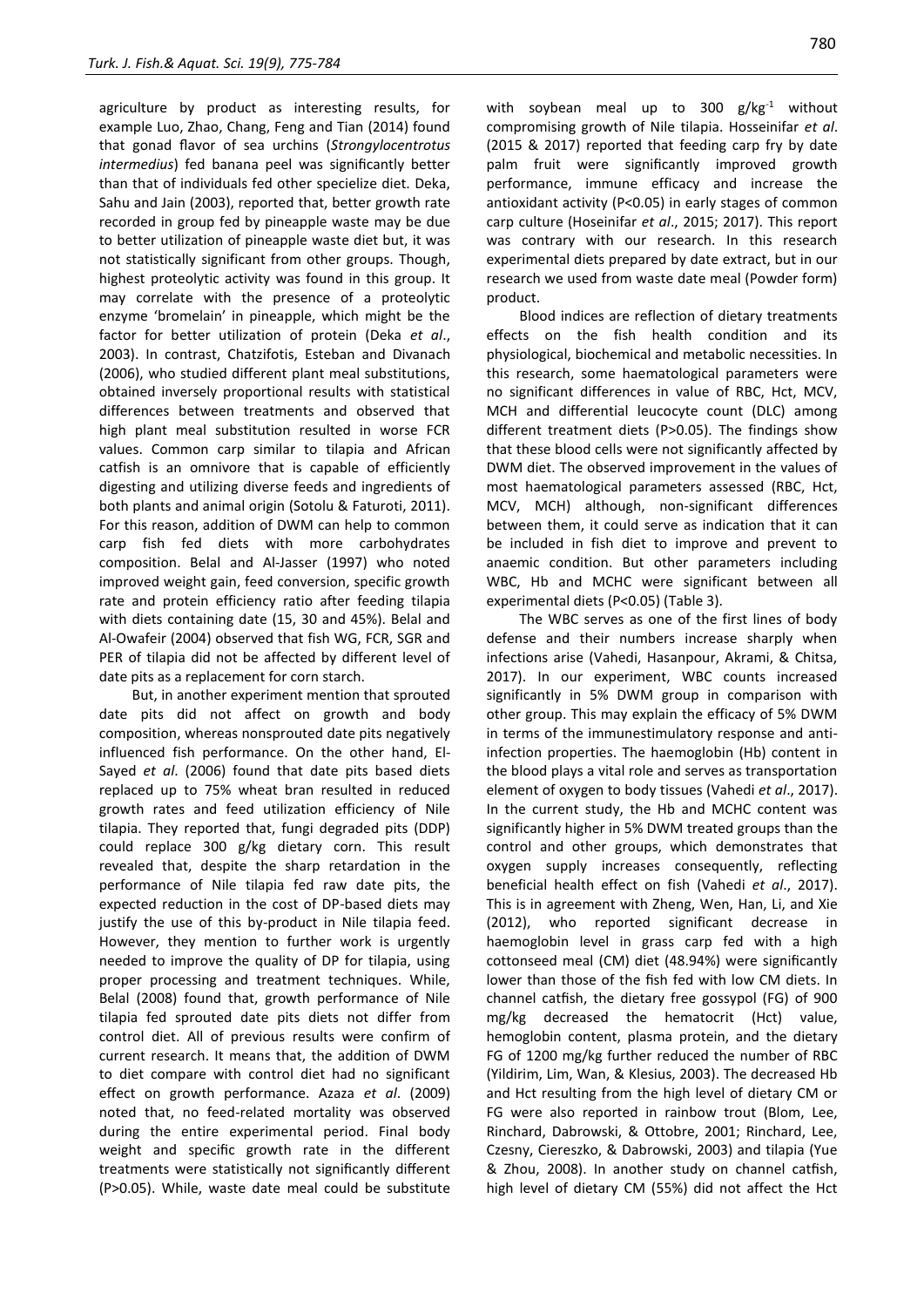agriculture by product as interesting results, for example Luo, Zhao, Chang, Feng and Tian (2014) found that gonad flavor of sea urchins (*Strongylocentrotus intermedius*) fed banana peel was significantly better than that of individuals fed other specielize diet. Deka, Sahu and Jain (2003), reported that, better growth rate recorded in group fed by pineapple waste may be due to better utilization of pineapple waste diet but, it was not statistically significant from other groups. Though, highest proteolytic activity was found in this group. It may correlate with the presence of a proteolytic enzyme 'bromelain' in pineapple, which might be the factor for better utilization of protein (Deka *et al*., 2003). In contrast, Chatzifotis, Esteban and Divanach (2006), who studied different plant meal substitutions, obtained inversely proportional results with statistical differences between treatments and observed that high plant meal substitution resulted in worse FCR values. Common carp similar to tilapia and African catfish is an omnivore that is capable of efficiently digesting and utilizing diverse feeds and ingredients of both plants and animal origin (Sotolu & Faturoti, 2011). For this reason, addition of DWM can help to common carp fish fed diets with more carbohydrates composition. Belal and Al‐Jasser (1997) who noted improved weight gain, feed conversion, specific growth rate and protein efficiency ratio after feeding tilapia with diets containing date (15, 30 and 45%). Belal and Al‐Owafeir (2004) observed that fish WG, FCR, SGR and PER of tilapia did not be affected by different level of date pits as a replacement for corn starch.

But, in another experiment mention that sprouted date pits did not affect on growth and body composition, whereas nonsprouted date pits negatively influenced fish performance. On the other hand, El-Sayed *et al*. (2006) found that date pits based diets replaced up to 75% wheat bran resulted in reduced growth rates and feed utilization efficiency of Nile tilapia. They reported that, fungi degraded pits (DDP) could replace 300 g/kg dietary corn. This result revealed that, despite the sharp retardation in the performance of Nile tilapia fed raw date pits, the expected reduction in the cost of DP-based diets may justify the use of this by-product in Nile tilapia feed. However, they mention to further work is urgently needed to improve the quality of DP for tilapia, using proper processing and treatment techniques. While, Belal (2008) found that, growth performance of Nile tilapia fed sprouted date pits diets not differ from control diet. All of previous results were confirm of current research. It means that, the addition of DWM to diet compare with control diet had no significant effect on growth performance. Azaza *et al*. (2009) noted that, no feed-related mortality was observed during the entire experimental period. Final body weight and specific growth rate in the different treatments were statistically not significantly different (P>0.05). While, waste date meal could be substitute with soybean meal up to 300  $g/kg^{-1}$  without compromising growth of Nile tilapia. Hosseinifar *et al*. (2015 & 2017) reported that feeding carp fry by date palm fruit were significantly improved growth performance, immune efficacy and increase the antioxidant activity (P<0.05) in early stages of common carp culture (Hoseinifar *et al*., 2015; 2017). This report was contrary with our research. In this research experimental diets prepared by date extract, but in our research we used from waste date meal (Powder form) product.

Blood indices are reflection of dietary treatments effects on the fish health condition and its physiological, biochemical and metabolic necessities. In this research, some haematological parameters were no significant differences in value of RBC, Hct, MCV, MCH and differential leucocyte count (DLC) among different treatment diets (P>0.05). The findings show that these blood cells were not significantly affected by DWM diet. The observed improvement in the values of most haematological parameters assessed (RBC, Hct, MCV, MCH) although, non-significant differences between them, it could serve as indication that it can be included in fish diet to improve and prevent to anaemic condition. But other parameters including WBC, Hb and MCHC were significant between all experimental diets (P<0.05) (Table 3).

The WBC serves as one of the first lines of body defense and their numbers increase sharply when infections arise (Vahedi, Hasanpour, Akrami, & Chitsa, 2017). In our experiment, WBC counts increased significantly in 5% DWM group in comparison with other group. This may explain the efficacy of 5% DWM in terms of the immunestimulatory response and antiinfection properties. The haemoglobin (Hb) content in the blood plays a vital role and serves as transportation element of oxygen to body tissues (Vahedi *et al*., 2017). In the current study, the Hb and MCHC content was significantly higher in 5% DWM treated groups than the control and other groups, which demonstrates that oxygen supply increases consequently, reflecting beneficial health effect on fish (Vahedi *et al*., 2017). This is in agreement with Zheng, Wen, Han, Li, and Xie (2012), who reported significant decrease in haemoglobin level in grass carp fed with a high cottonseed meal (CM) diet (48.94%) were significantly lower than those of the fish fed with low CM diets. In channel catfish, the dietary free gossypol (FG) of 900 mg/kg decreased the hematocrit (Hct) value, hemoglobin content, plasma protein, and the dietary FG of 1200 mg/kg further reduced the number of RBC (Yildirim, Lim, Wan, & Klesius, 2003). The decreased Hb and Hct resulting from the high level of dietary CM or FG were also reported in rainbow trout (Blom, Lee, Rinchard, Dabrowski, & Ottobre, 2001; Rinchard, Lee, Czesny, Ciereszko, & Dabrowski, 2003) and tilapia (Yue & Zhou, 2008). In another study on channel catfish, high level of dietary CM (55%) did not affect the Hct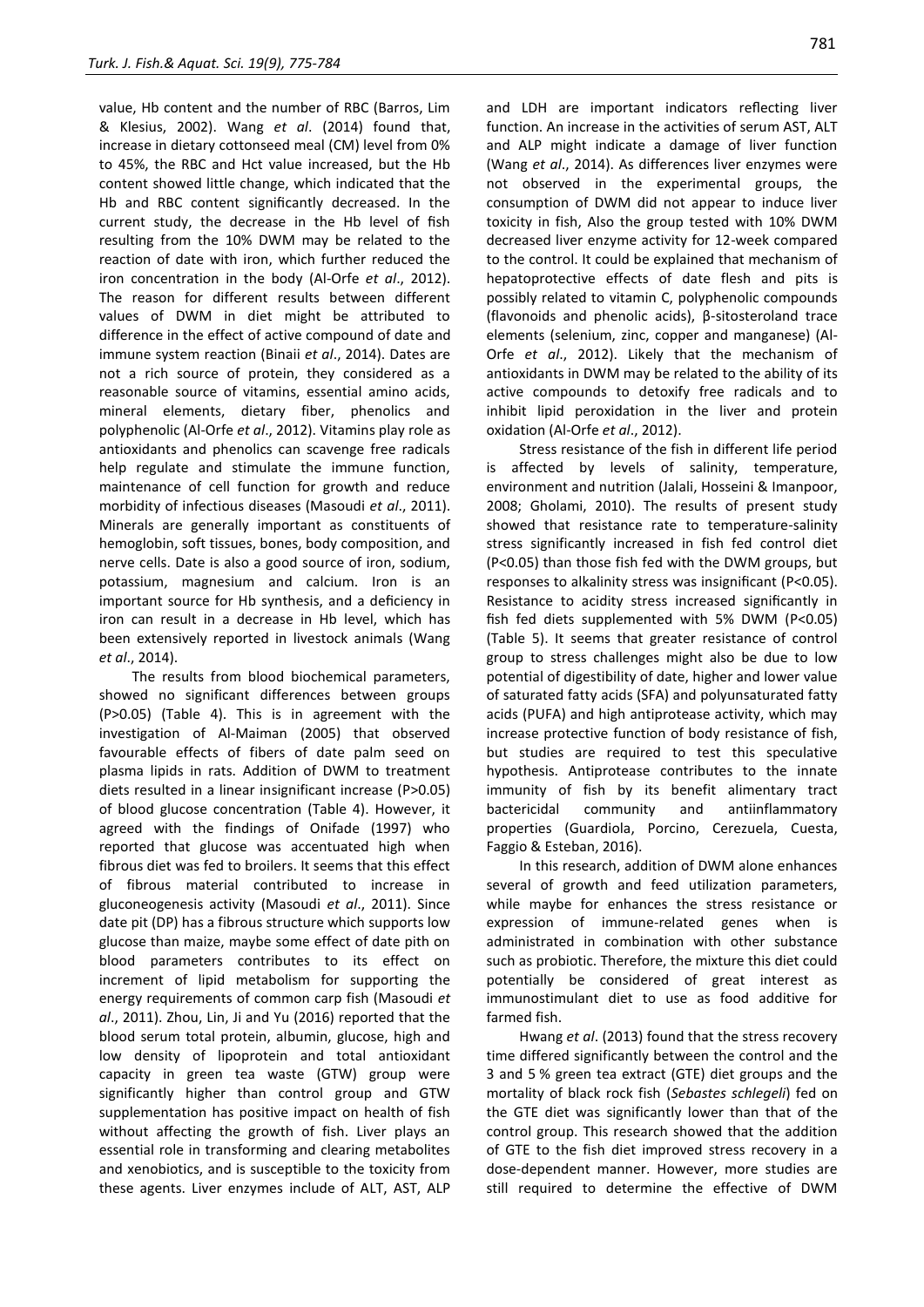value, Hb content and the number of RBC (Barros, Lim & Klesius, 2002). Wang *et al*. (2014) found that, increase in dietary cottonseed meal (CM) level from 0% to 45%, the RBC and Hct value increased, but the Hb content showed little change, which indicated that the Hb and RBC content significantly decreased. In the current study, the decrease in the Hb level of fish resulting from the 10% DWM may be related to the reaction of date with iron, which further reduced the iron concentration in the body (Al-Orfe *et al*., 2012). The reason for different results between different values of DWM in diet might be attributed to difference in the effect of active compound of date and immune system reaction (Binaii *et al*., 2014). Dates are not a rich source of protein, they considered as a reasonable source of vitamins, essential amino acids, mineral elements, dietary fiber, phenolics and polyphenolic (Al-Orfe *et al*., 2012). Vitamins play role as antioxidants and phenolics can scavenge free radicals help regulate and stimulate the immune function, maintenance of cell function for growth and reduce morbidity of infectious diseases (Masoudi *et al*., 2011). Minerals are generally important as constituents of hemoglobin, soft tissues, bones, body composition, and nerve cells. Date is also a good source of iron, sodium, potassium, magnesium and calcium. Iron is an important source for Hb synthesis, and a deficiency in iron can result in a decrease in Hb level, which has been extensively reported in livestock animals (Wang *et al*., 2014).

The results from blood biochemical parameters, showed no significant differences between groups (P>0.05) (Table 4). This is in agreement with the investigation of Al-Maiman (2005) that observed favourable effects of fibers of date palm seed on plasma lipids in rats. Addition of DWM to treatment diets resulted in a linear insignificant increase (P>0.05) of blood glucose concentration (Table 4). However, it agreed with the findings of Onifade (1997) who reported that glucose was accentuated high when fibrous diet was fed to broilers. It seems that this effect of fibrous material contributed to increase in gluconeogenesis activity (Masoudi *et al*., 2011). Since date pit (DP) has a fibrous structure which supports low glucose than maize, maybe some effect of date pith on blood parameters contributes to its effect on increment of lipid metabolism for supporting the energy requirements of common carp fish (Masoudi *et al*., 2011). Zhou, Lin, Ji and Yu (2016) reported that the blood serum total protein, albumin, glucose, high and low density of lipoprotein and total antioxidant capacity in green tea waste (GTW) group were significantly higher than control group and GTW supplementation has positive impact on health of fish without affecting the growth of fish. Liver plays an essential role in transforming and clearing metabolites and xenobiotics, and is susceptible to the toxicity from these agents. Liver enzymes include of ALT, AST, ALP and LDH are important indicators reflecting liver function. An increase in the activities of serum AST, ALT and ALP might indicate a damage of liver function (Wang *et al*., 2014). As differences liver enzymes were not observed in the experimental groups, the consumption of DWM did not appear to induce liver toxicity in fish, Also the group tested with 10% DWM decreased liver enzyme activity for 12-week compared to the control. It could be explained that mechanism of hepatoprotective effects of date flesh and pits is possibly related to vitamin C, polyphenolic compounds (flavonoids and phenolic acids), β-sitosteroland trace elements (selenium, zinc, copper and manganese) (Al-Orfe *et al*., 2012). Likely that the mechanism of antioxidants in DWM may be related to the ability of its active compounds to detoxify free radicals and to inhibit lipid peroxidation in the liver and protein oxidation (Al-Orfe *et al*., 2012).

Stress resistance of the fish in different life period is affected by levels of salinity, temperature, environment and nutrition (Jalali, Hosseini & Imanpoor, 2008; Gholami, 2010). The results of present study showed that resistance rate to temperature-salinity stress significantly increased in fish fed control diet (P<0.05) than those fish fed with the DWM groups, but responses to alkalinity stress was insignificant (P<0.05). Resistance to acidity stress increased significantly in fish fed diets supplemented with 5% DWM (P<0.05) (Table 5). It seems that greater resistance of control group to stress challenges might also be due to low potential of digestibility of date, higher and lower value of saturated fatty acids (SFA) and polyunsaturated fatty acids (PUFA) and high antiprotease activity, which may increase protective function of body resistance of fish, but studies are required to test this speculative hypothesis. Antiprotease contributes to the innate immunity of fish by its benefit alimentary tract bactericidal community and antiinflammatory properties (Guardiola, Porcino, Cerezuela, Cuesta, Faggio & Esteban, 2016).

In this research, addition of DWM alone enhances several of growth and feed utilization parameters, while maybe for enhances the stress resistance or expression of immune-related genes when is administrated in combination with other substance such as probiotic. Therefore, the mixture this diet could potentially be considered of great interest as immunostimulant diet to use as food additive for farmed fish.

Hwang *et al*. (2013) found that the stress recovery time differed significantly between the control and the 3 and 5 % green tea extract (GTE) diet groups and the mortality of black rock fish (*Sebastes schlegeli*) fed on the GTE diet was significantly lower than that of the control group. This research showed that the addition of GTE to the fish diet improved stress recovery in a dose-dependent manner. However, more studies are still required to determine the effective of DWM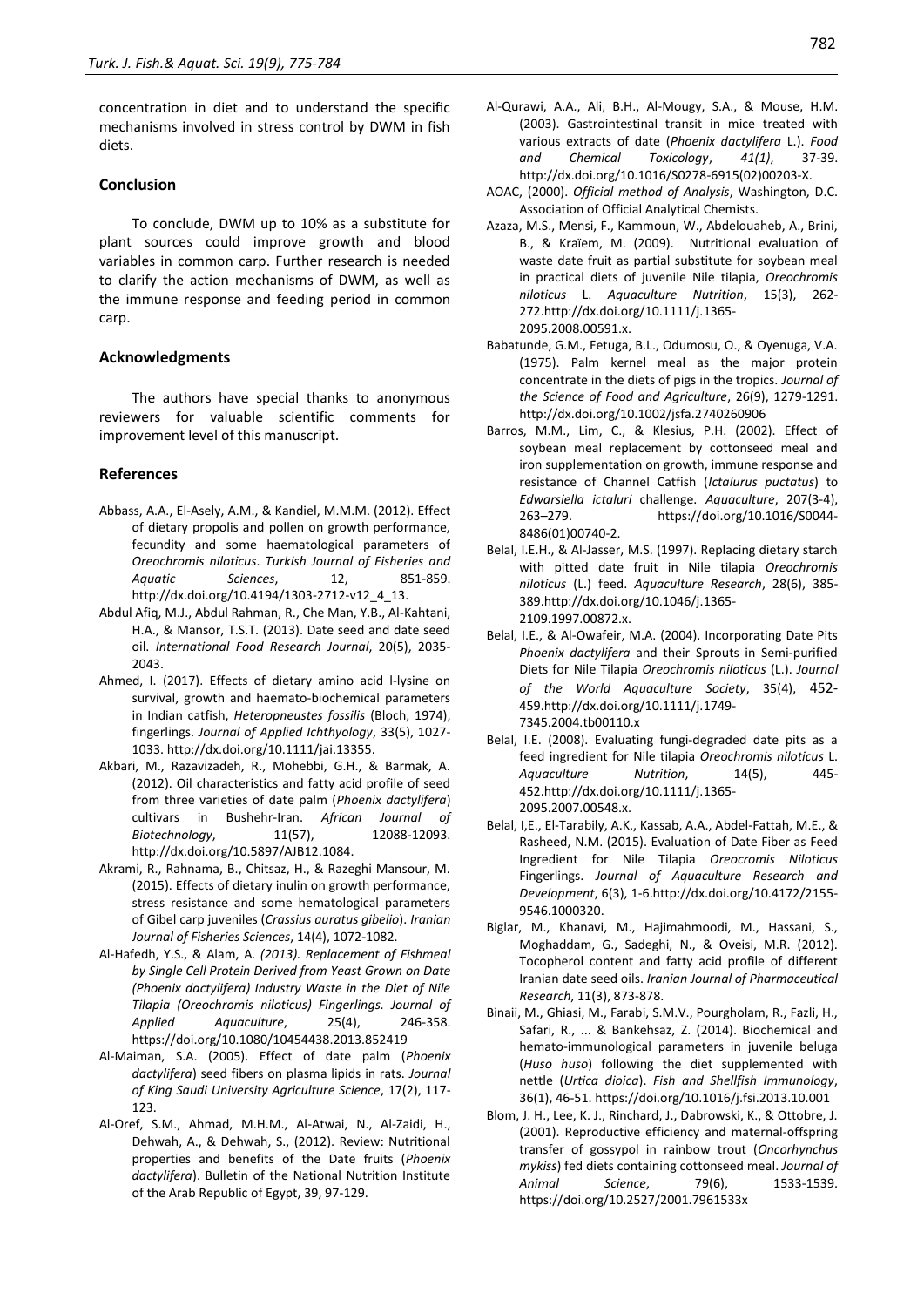concentration in diet and to understand the specific mechanisms involved in stress control by DWM in fish diets.

## **Conclusion**

To conclude, DWM up to 10% as a substitute for plant sources could improve growth and blood variables in common carp. Further research is needed to clarify the action mechanisms of DWM, as well as the immune response and feeding period in common carp.

## **Acknowledgments**

The authors have special thanks to anonymous reviewers for valuable scientific comments for improvement level of this manuscript.

## **References**

- Abbass, A.A., El-Asely, A.M., & Kandiel, M.M.M. (2012). Effect of dietary propolis and pollen on growth performance, fecundity and some haematological parameters of *Oreochromis niloticus*. *Turkish Journal of Fisheries and Aquatic Sciences*, 12, 851-859. [http://dx.doi.org/10.4194/1303-2712-v12\\_4\\_13.](http://dx.doi.org/10.4194/1303-2712-v12_4_13)
- Abdul Afiq, M.J., Abdul Rahman, R., Che Man, Y.B., Al-Kahtani, H.A., & Mansor, T.S.T. (2013). Date seed and date seed oil. *International Food Research Journal*, 20(5), 2035- 2043.
- Ahmed, I. (2017). Effects of dietary amino acid l‐lysine on survival, growth and haemato‐biochemical parameters in Indian catfish, *Heteropneustes fossilis* (Bloch, 1974), fingerlings. *Journal of Applied Ichthyology*, 33(5), 1027- 1033[. http://dx.doi.org/10.1111/jai.13355.](http://dx.doi.org/10.1111/jai.13355)
- Akbari, M., Razavizadeh, R., Mohebbi, G.H., & Barmak, A. (2012). Oil characteristics and fatty acid profile of seed from three varieties of date palm (*Phoenix dactylifera*) cultivars in Bushehr-Iran. *African Journal of Biotechnology*, 11(57), 12088-12093. [http://dx.doi.org/10.5897/AJB12.1084.](http://dx.doi.org/10.5897/AJB12.1084)
- Akrami, R., Rahnama, B., Chitsaz, H., & Razeghi Mansour, M. (2015). Effects of dietary inulin on growth performance, stress resistance and some hematological parameters of Gibel carp juveniles (*Crassius auratus gibelio*). *Iranian Journal of Fisheries Sciences*, 14(4), 1072-1082.
- Al-Hafedh, Y.S., & Alam, A*. (2013). Replacement of Fishmeal by Single Cell Protein Derived from Yeast Grown on Date (Phoenix dactylifera) Industry Waste in the Diet of Nile Tilapia (Oreochromis niloticus) Fingerlings. Journal of Applied Aquaculture*, 25(4), 246-358. <https://doi.org/10.1080/10454438.2013.852419>
- Al-Maiman, S.A. (2005). Effect of date palm (*Phoenix dactylifera*) seed fibers on plasma lipids in rats. *Journal of King Saudi University Agriculture Science*, 17(2), 117- 123.
- Al-Oref, S.M., Ahmad, M.H.M., Al-Atwai, N., Al-Zaidi, H., Dehwah, A., & Dehwah, S., (2012). Review: Nutritional properties and benefits of the Date fruits (*Phoenix dactylifera*). Bulletin of the National Nutrition Institute of the Arab Republic of Egypt, 39, 97-129.
- Al-Qurawi, A.A., Ali, B.H., Al-Mougy, S.A., & Mouse, H.M. (2003). Gastrointestinal transit in mice treated with various extracts of date (*Phoenix dactylifera* L.). *Food and Chemical Toxicology*, *41(1)*, 37-39. [http://dx.doi.org/10.1016/S0278-6915\(02\)00203-X.](http://dx.doi.org/10.1016/S0278-6915(02)00203-X)
- AOAC, (2000). *Official method of Analysis*, Washington, D.C. Association of Official Analytical Chemists.
- Azaza, M.S., Mensi, F., Kammoun, W., Abdelouaheb, A., Brini, B., & Kraïem, M. (2009). Nutritional evaluation of waste date fruit as partial substitute for soybean meal in practical diets of juvenile Nile tilapia, *Oreochromis niloticus* L. *Aquaculture Nutrition*, 15(3), 262- 27[2.http://dx.doi.org/10.1111/j.1365-](http://dx.doi.org/10.1111/j.1365-2095.2008.00591.x) [2095.2008.00591.x.](http://dx.doi.org/10.1111/j.1365-2095.2008.00591.x)
- Babatunde, G.M., Fetuga, B.L., Odumosu, O., & Oyenuga, V.A. (1975). Palm kernel meal as the major protein concentrate in the diets of pigs in the tropics. *Journal of the Science of Food and Agriculture*, 26(9), 1279-1291. <http://dx.doi.org/10.1002/jsfa.2740260906>
- Barros, M.M., Lim, C., & Klesius, P.H. (2002). Effect of soybean meal replacement by cottonseed meal and iron supplementation on growth, immune response and resistance of Channel Catfish (*Ictalurus puctatus*) to *Edwarsiella ictaluri* challenge. *Aquaculture*, 207(3-4), 263–279. [https://doi.org/10.1016/S0044-](https://doi.org/10.1016/S0044-8486(01)00740-2) [8486\(01\)00740-2.](https://doi.org/10.1016/S0044-8486(01)00740-2)
- Belal, I.E.H., & Al‐Jasser, M.S. (1997). Replacing dietary starch with pitted date fruit in Nile tilapia *Oreochromis niloticus* (L.) feed. *Aquaculture Research*, 28(6), 385- 38[9.http://dx.doi.org/10.1046/j.1365-](http://dx.doi.org/10.1046/j.1365-2109.1997.00872.x) [2109.1997.00872.x.](http://dx.doi.org/10.1046/j.1365-2109.1997.00872.x)
- Belal, I.E., & Al‐Owafeir, M.A. (2004). Incorporating Date Pits *Phoenix dactylifera* and their Sprouts in Semi‐purified Diets for Nile Tilapia *Oreochromis niloticus* (L.). *Journal of the World Aquaculture Society*, 35(4), 452- 45[9.http://dx.doi.org/10.1111/j.1749-](http://dx.doi.org/10.1111/j.1749-7345.2004.tb00110.x) [7345.2004.tb00110.x](http://dx.doi.org/10.1111/j.1749-7345.2004.tb00110.x)
- Belal, I.E. (2008). Evaluating fungi‐degraded date pits as a feed ingredient for Nile tilapia *Oreochromis niloticus* L. *Aquaculture Nutrition*, 14(5), 445- 45[2.http://dx.doi.org/10.1111/j.1365-](http://dx.doi.org/10.1111/j.1365-2095.2007.00548.x) [2095.2007.00548.x.](http://dx.doi.org/10.1111/j.1365-2095.2007.00548.x)
- Belal, I,E., El-Tarabily, A.K., Kassab, A.A., Abdel-Fattah, M.E., & Rasheed, N.M. (2015). Evaluation of Date Fiber as Feed Ingredient for Nile Tilapia *Oreocromis Niloticus* Fingerlings. *Journal of Aquaculture Research and Development*, 6(3), 1-[6.http://dx.doi.org/10.4172/2155-](http://dx.doi.org/10.4172/2155-9546.1000320) [9546.1000320.](http://dx.doi.org/10.4172/2155-9546.1000320)
- Biglar, M., Khanavi, M., Hajimahmoodi, M., Hassani, S., Moghaddam, G., Sadeghi, N., & Oveisi, M.R. (2012). Tocopherol content and fatty acid profile of different Iranian date seed oils. *Iranian Journal of Pharmaceutical Research*, 11(3), 873-878.
- Binaii, M., Ghiasi, M., Farabi, S.M.V., Pourgholam, R., Fazli, H., Safari, R., ... & Bankehsaz, Z. (2014). Biochemical and hemato-immunological parameters in juvenile beluga (*Huso huso*) following the diet supplemented with nettle (*Urtica dioica*). *Fish and Shellfish Immunology*, 36(1), 46-51[. https://doi.org/10.1016/j.fsi.2013.10.001](https://doi.org/10.1016/j.fsi.2013.10.001)
- Blom, J. H., Lee, K. J., Rinchard, J., Dabrowski, K., & Ottobre, J. (2001). Reproductive efficiency and maternal-offspring transfer of gossypol in rainbow trout (*Oncorhynchus mykiss*) fed diets containing cottonseed meal. *Journal of Animal Science*, 79(6), 1533-1539. <https://doi.org/10.2527/2001.7961533x>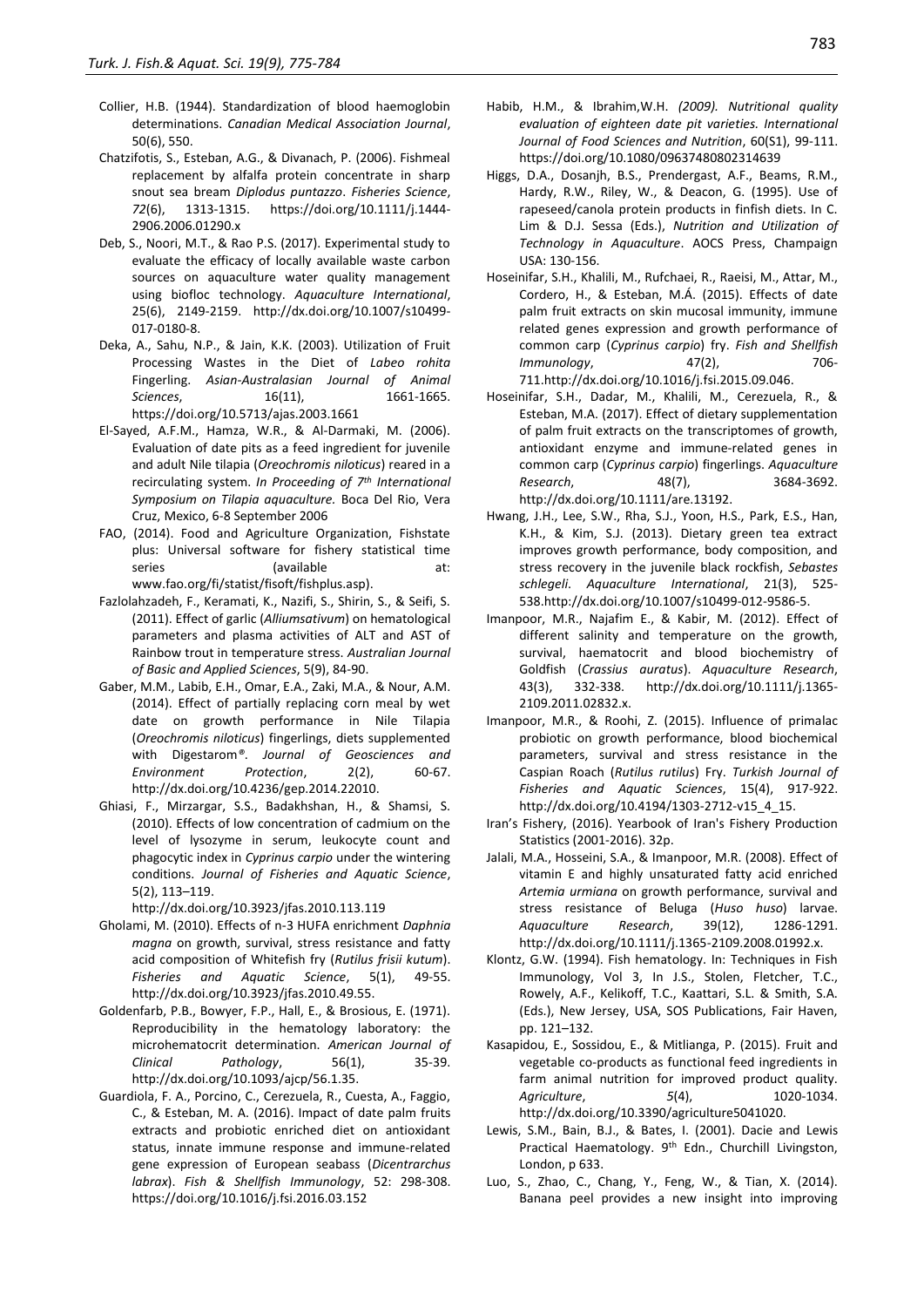- Collier, H.B. (1944). Standardization of blood haemoglobin determinations. *Canadian Medical Association Journal*, 50(6), 550.
- Chatzifotis, S., Esteban, A.G., & Divanach, P. (2006). Fishmeal replacement by alfalfa protein concentrate in sharp snout sea bream *Diplodus puntazzo*. *Fisheries Science*, *72*(6), 1313-1315. [https://doi.org/10.1111/j.1444-](https://doi.org/10.1111/j.1444-2906.2006.01290.x) [2906.2006.01290.x](https://doi.org/10.1111/j.1444-2906.2006.01290.x)
- Deb, S., Noori, M.T., & Rao P.S. (2017). Experimental study to evaluate the efficacy of locally available waste carbon sources on aquaculture water quality management using biofloc technology. *Aquaculture International*, 25(6), 2149-2159. [http://dx.doi.org/10.1007/s10499-](http://dx.doi.org/10.1007/s10499-017-0180-8) [017-0180-8.](http://dx.doi.org/10.1007/s10499-017-0180-8)
- Deka, A., Sahu, N.P., & Jain, K.K. (2003). Utilization of Fruit Processing Wastes in the Diet of *Labeo rohita* Fingerling. *Asian-Australasian Journal of Animal Sciences*, 16(11), 1661-1665. <https://doi.org/10.5713/ajas.2003.1661>
- El-Sayed, A.F.M., Hamza, W.R., & Al-Darmaki, M. (2006). Evaluation of date pits as a feed ingredient for juvenile and adult Nile tilapia (*Oreochromis niloticus*) reared in a recirculating system. *In Proceeding of 7th International Symposium on Tilapia aquaculture.* Boca Del Rio, Vera Cruz, Mexico, 6-8 September 2006
- FAO, (2014). Food and Agriculture Organization, Fishstate plus: Universal software for fishery statistical time series (available at: [www.fao.org/fi/statist/fisoft/fishplus.asp\)](http://www.fao.org/fi/statist/fisoft/fishplus.asp).
- Fazlolahzadeh, F., Keramati, K., Nazifi, S., Shirin, S., & Seifi, S. (2011). Effect of garlic (*Alliumsativum*) on hematological parameters and plasma activities of ALT and AST of Rainbow trout in temperature stress. *Australian Journal of Basic and Applied Sciences*, 5(9), 84-90.
- Gaber, M.M., Labib, E.H., Omar, E.A., Zaki, M.A., & Nour, A.M. (2014). Effect of partially replacing corn meal by wet date on growth performance in Nile Tilapia (*Oreochromis niloticus*) fingerlings, diets supplemented with Digestarom*®*. *Journal of Geosciences and Environment Protection*, 2(2), 60-67. [http://dx.doi.org/10.4236/gep.2014.22010.](http://dx.doi.org/10.4236/gep.2014.22010)
- Ghiasi, F., Mirzargar, S.S., Badakhshan, H., & Shamsi, S. (2010). Effects of low concentration of cadmium on the level of lysozyme in serum, leukocyte count and phagocytic index in *Cyprinus carpio* under the wintering conditions. *Journal of Fisheries and Aquatic Science*, 5(2), 113–119.

http://dx.doi.org[/10.3923/jfas.2010.113.119](http://dx.doi.org/10.3923/jfas.2010.113.119)

- Gholami, M. (2010). Effects of n-3 HUFA enrichment *Daphnia magna* on growth, survival, stress resistance and fatty acid composition of Whitefish fry (*Rutilus frisii kutum*). *Fisheries and Aquatic Science*, 5(1), 49-55. [http://dx.doi.org/10.3923/jfas.2010.49.55.](http://dx.doi.org/10.3923/jfas.2010.49.55)
- Goldenfarb, P.B., Bowyer, F.P., Hall, E., & Brosious, E. (1971). Reproducibility in the hematology laboratory: the microhematocrit determination. *American Journal of Clinical Pathology*, 56(1), 35-39. http://dx.doi.org[/10.1093/ajcp/56.1.35.](https://doi.org/10.1093/ajcp/56.1.35)
- Guardiola, F. A., Porcino, C., Cerezuela, R., Cuesta, A., Faggio, C., & Esteban, M. A. (2016). Impact of date palm fruits extracts and probiotic enriched diet on antioxidant status, innate immune response and immune-related gene expression of European seabass (*Dicentrarchus labrax*). *Fish & Shellfish Immunology*, 52: 298-308. <https://doi.org/10.1016/j.fsi.2016.03.152>
- Habib, H.M., & Ibrahim,W.H. *(2009). Nutritional quality evaluation of eighteen date pit varieties. International Journal of Food Sciences and Nutrition*, 60(S1), 99-111. <https://doi.org/10.1080/09637480802314639>
- Higgs, D.A., Dosanjh, B.S., Prendergast, A.F., Beams, R.M., Hardy, R.W., Riley, W., & Deacon, G. (1995). Use of rapeseed/canola protein products in finfish diets. In C. Lim & D.J. Sessa (Eds.), *Nutrition and Utilization of Technology in Aquaculture*. AOCS Press, Champaign USA: 130-156.
- Hoseinifar, S.H., Khalili, M., Rufchaei, R., Raeisi, M., Attar, M., Cordero, H., & Esteban, M.Á. (2015). Effects of date palm fruit extracts on skin mucosal immunity, immune related genes expression and growth performance of common carp (*Cyprinus carpio*) fry. *Fish and Shellfish Immunology*, 47(2), 706-71[1.http://dx.doi.org/10.1016/j.fsi.2015.09.046.](http://dx.doi.org/10.1016/j.fsi.2015.09.046)
- Hoseinifar, S.H., Dadar, M., Khalili, M., Cerezuela, R., & Esteban, M.A. (2017). Effect of dietary supplementation of palm fruit extracts on the transcriptomes of growth, antioxidant enzyme and immune‐related genes in common carp (*Cyprinus carpio*) fingerlings. *Aquaculture Research*, 48(7), 3684-3692. [http://dx.doi.org/10.1111/are.13192.](http://dx.doi.org/10.1111/are.13192)
- Hwang, J.H., Lee, S.W., Rha, S.J., Yoon, H.S., Park, E.S., Han, K.H., & Kim, S.J. (2013). Dietary green tea extract improves growth performance, body composition, and stress recovery in the juvenile black rockfish, *Sebastes schlegeli*. *Aquaculture International*, 21(3), 525- 53[8.http://dx.doi.org/10.1007/s10499-012-9586-5.](http://dx.doi.org/10.1007/s10499-012-9586-5)
- Imanpoor, M.R., Najafim E., & Kabir, M. (2012). Effect of different salinity and temperature on the growth, survival, haematocrit and blood biochemistry of Goldfish (*Crassius auratus*). *Aquaculture Research*, 43(3), 332-338. [http://dx.doi.org/10.1111/j.1365-](http://dx.doi.org/10.1111/j.1365-2109.2011.02832.x) [2109.2011.02832.x.](http://dx.doi.org/10.1111/j.1365-2109.2011.02832.x)
- Imanpoor, M.R., & Roohi, Z. (2015). Influence of primalac probiotic on growth performance, blood biochemical parameters, survival and stress resistance in the Caspian Roach (*Rutilus rutilus*) Fry. *Turkish Journal of Fisheries and Aquatic Sciences*, 15(4), 917-922. [http://dx.doi.org/10.4194/1303-2712-v15\\_4\\_15.](http://dx.doi.org/10.4194/1303-2712-v15_4_15)
- Iran's Fishery, (2016). Yearbook of Iran's Fishery Production Statistics (2001-2016). 32p.
- Jalali, M.A., Hosseini, S.A., & Imanpoor, M.R. (2008). Effect of vitamin E and highly unsaturated fatty acid enriched *Artemia urmiana* on growth performance, survival and stress resistance of Beluga (*Huso huso*) larvae. *Aquaculture Research*, 39(12), 1286-1291. [http://dx.doi.org/10.1111/j.1365-2109.2008.01992.x.](http://dx.doi.org/10.1111/j.1365-2109.2008.01992.x)
- Klontz, G.W. (1994). Fish hematology. In: Techniques in Fish Immunology, Vol 3, In J.S., Stolen, Fletcher, T.C., Rowely, A.F., Kelikoff, T.C., Kaattari, S.L. & Smith, S.A. (Eds.), New Jersey, USA, SOS Publications, Fair Haven, pp. 121–132.
- Kasapidou, E., Sossidou, E., & Mitlianga, P. (2015). Fruit and vegetable co-products as functional feed ingredients in farm animal nutrition for improved product quality. *Agriculture*, *5*(4), 1020-1034. <http://dx.doi.org/>[10.3390/agriculture5041020.](http://dx.doi.org/10.3390/agriculture5041020)
- Lewis, S.M., Bain, B.J., & Bates, I. (2001). Dacie and Lewis Practical Haematology. 9<sup>th</sup> Edn., Churchill Livingston, London, p 633.
- Luo, S., Zhao, C., Chang, Y., Feng, W., & Tian, X. (2014). Banana peel provides a new insight into improving